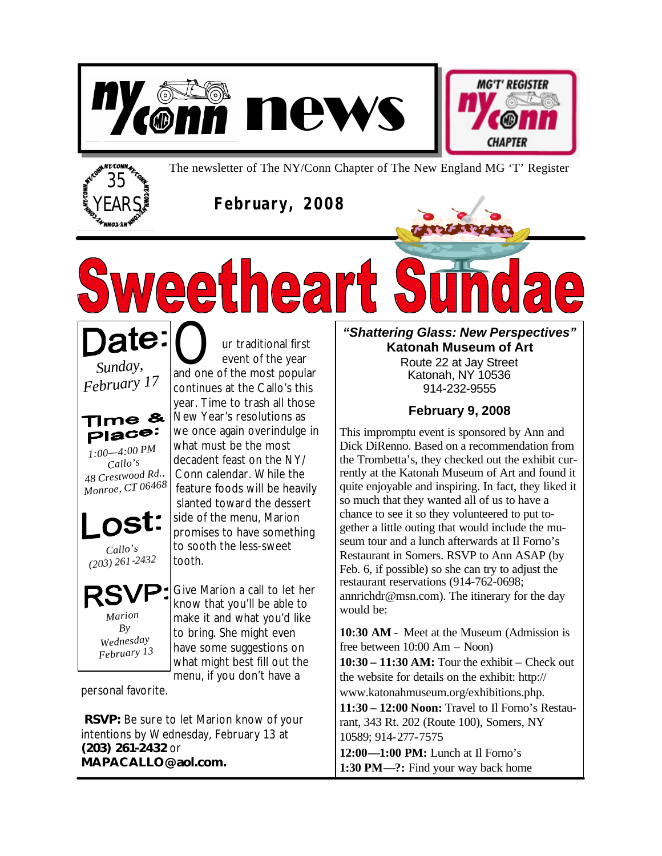





The newsletter of The NY/Conn Chapter of The New England MG 'T' Register

**February, 2008**

ate: *Sunday, February <sup>17</sup>*

Time &  $P^{\text{inco}}$ *1:00—4:00 PM*  Callo's<br>48 Crestwood Rd., *48 Crestwood Rd., Monroe, CT 06468*

*Callo's*

*(203) 261-2432*

*Marion By Wednesday February 13*

Our traditional first<br>and one of the most popular event of the year continues at the Callo's this year. Time to trash all those New Year's resolutions as we once again overindulge in what must be the most decadent feast on the NY/ Conn calendar. While the feature foods will be heavily slanted toward the dessert side of the menu, Marion promises to have something to sooth the less-sweet tooth.

**2211221** 

Give Marion a call to let her know that you'll be able to make it and what you'd like to bring. She might even have some suggestions on what might best fill out the menu, if you don't have a

personal favorite.

**RSVP:** Be sure to let Marion know of your intentions by Wednesday, February 13 at **(203) 261-2432** or **MAPACALLO@aol.com.**

*"Shattering Glass: New Perspectives"* **Katonah Museum of Art**

> Route 22 at Jay Street Katonah, NY 10536 914-232-9555

### **February 9, 2008**

This impromptu event is sponsored by Ann and Dick DiRenno. Based on a recommendation from the Trombetta's, they checked out the exhibit currently at the Katonah Museum of Art and found it quite enjoyable and inspiring. In fact, they liked it so much that they wanted all of us to have a chance to see it so they volunteered to put together a little outing that would include the museum tour and a lunch afterwards at Il Forno's Restaurant in Somers. RSVP to Ann ASAP (by Feb. 6, if possible) so she can try to adjust the restaurant reservations (914-762-0698; annrichdr@msn.com). The itinerary for the day would be:

**10:30 AM** - Meet at the Museum (Admission is free between 10:00 Am – Noon)

**10:30 – 11:30 AM:** Tour the exhibit – Check out the website for details on the exhibit: http:// www.katonahmuseum.org/exhibitions.php.

**11:30 – 12:00 Noon:** Travel to Il Forno's Restaurant, 343 Rt. 202 (Route 100), Somers, NY 10589; 914-277-7575

**12:00—1:00 PM:** Lunch at Il Forno's **1:30 PM—?:** Find your way back home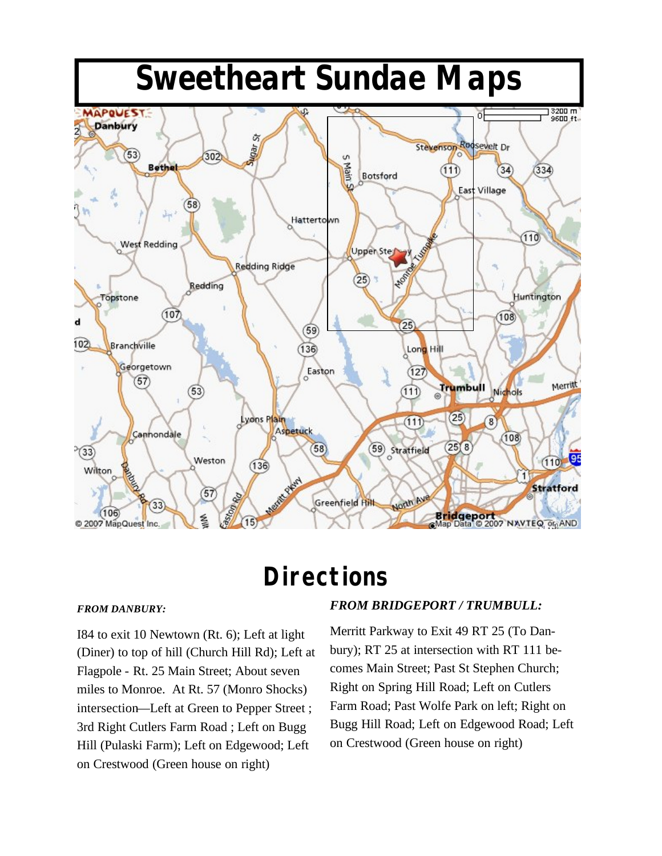

# **Directions**

#### *FROM DANBURY:*

I84 to exit 10 Newtown (Rt. 6); Left at light (Diner) to top of hill (Church Hill Rd); Left at Flagpole - Rt. 25 Main Street; About seven miles to Monroe. At Rt. 57 (Monro Shocks) intersection—Left at Green to Pepper Street ; 3rd Right Cutlers Farm Road ; Left on Bugg Hill (Pulaski Farm); Left on Edgewood; Left on Crestwood (Green house on right)

#### *FROM BRIDGEPORT / TRUMBULL:*

Merritt Parkway to Exit 49 RT 25 (To Danbury); RT 25 at intersection with RT 111 becomes Main Street; Past St Stephen Church; Right on Spring Hill Road; Left on Cutlers Farm Road; Past Wolfe Park on left; Right on Bugg Hill Road; Left on Edgewood Road; Left on Crestwood (Green house on right)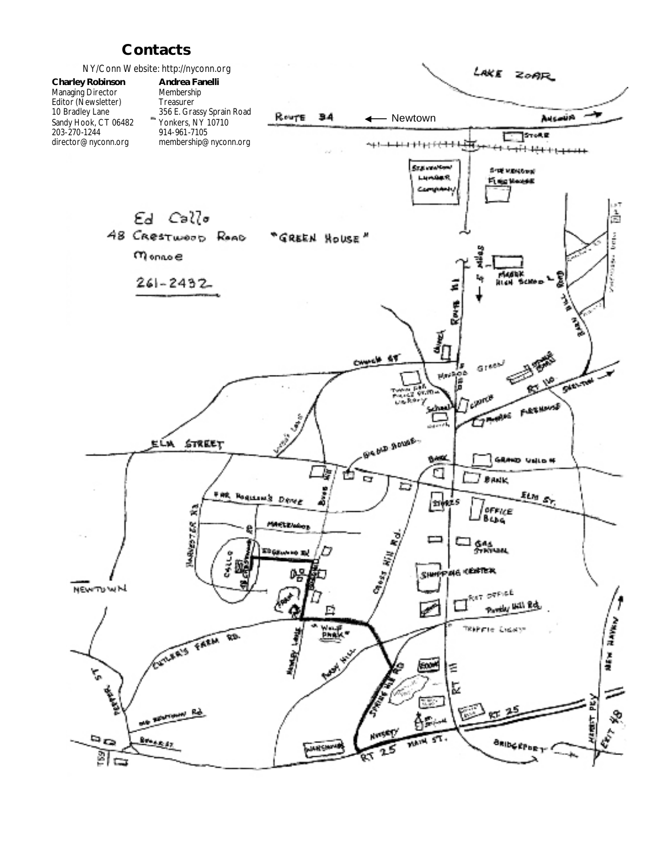## **Contacts**